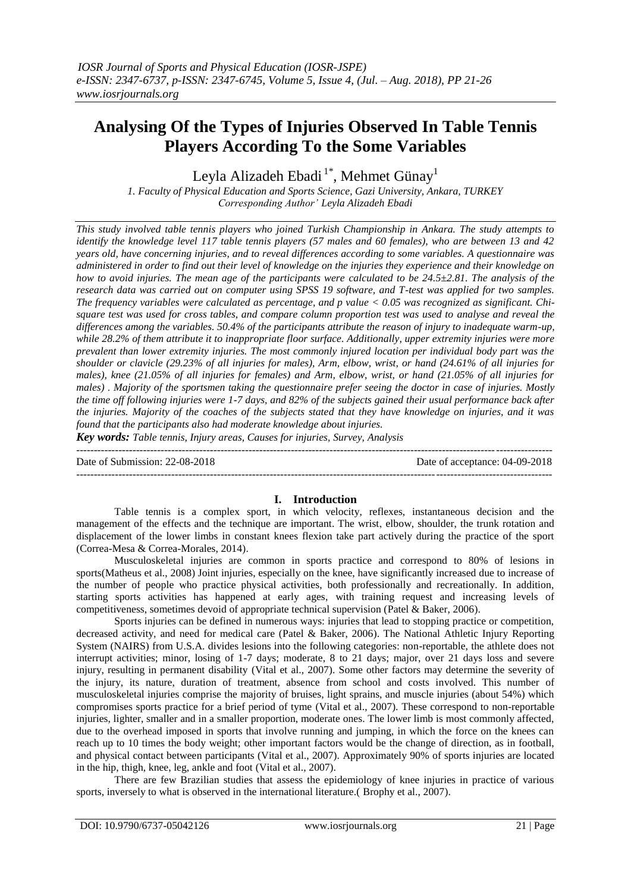# **Analysing Of the Types of Injuries Observed In Table Tennis Players According To the Some Variables**

Leyla Alizadeh Ebadi<sup>1\*</sup>, Mehmet Günay<sup>1</sup>

*1. Faculty of Physical Education and Sports Science, Gazi University, Ankara, TURKEY Corresponding Author' Leyla Alizadeh Ebadi*

*This study involved table tennis players who joined Turkish Championship in Ankara. The study attempts to identify the knowledge level 117 table tennis players (57 males and 60 females), who are between 13 and 42 years old, have concerning injuries, and to reveal differences according to some variables. A questionnaire was administered in order to find out their level of knowledge on the injuries they experience and their knowledge on how to avoid injuries. The mean age of the participants were calculated to be 24.5±2.81. The analysis of the research data was carried out on computer using SPSS 19 software, and T-test was applied for two samples. The frequency variables were calculated as percentage, and p value < 0.05 was recognized as significant. Chisquare test was used for cross tables, and compare column proportion test was used to analyse and reveal the differences among the variables. 50.4% of the participants attribute the reason of injury to inadequate warm-up, while 28.2% of them attribute it to inappropriate floor surface. Additionally, upper extremity injuries were more prevalent than lower extremity injuries. The most commonly injured location per individual body part was the shoulder or clavicle (29.23% of all injuries for males), Arm, elbow, wrist, or hand (24.61% of all injuries for males), knee (21.05% of all injuries for females) and Arm, elbow, wrist, or hand (21.05% of all injuries for males)* . *Majority of the sportsmen taking the questionnaire prefer seeing the doctor in case of injuries. Mostly the time off following injuries were 1-7 days, and 82% of the subjects gained their usual performance back after the injuries. Majority of the coaches of the subjects stated that they have knowledge on injuries, and it was found that the participants also had moderate knowledge about injuries.*

*Key words: Table tennis, Injury areas, Causes for injuries, Survey, Analysis* 

--------------------------------------------------------------------------------------------------------------------------------------- Date of Submission: 22-08-2018 Date of acceptance: 04-09-2018  $-1-\frac{1}{2}$ 

# **I. Introduction**

Table tennis is a complex sport, in which velocity, reflexes, instantaneous decision and the management of the effects and the technique are important. The wrist, elbow, shoulder, the trunk rotation and displacement of the lower limbs in constant knees flexion take part actively during the practice of the sport (Correa-Mesa & Correa-Morales, 2014).

Musculoskeletal injuries are common in sports practice and correspond to 80% of lesions in sports(Matheus et al., 2008) Joint injuries, especially on the knee, have significantly increased due to increase of the number of people who practice physical activities, both professionally and recreationally. In addition, starting sports activities has happened at early ages, with training request and increasing levels of competitiveness, sometimes devoid of appropriate technical supervision (Patel & Baker, 2006).

Sports injuries can be defined in numerous ways: injuries that lead to stopping practice or competition, decreased activity, and need for medical care (Patel & Baker, 2006). The National Athletic Injury Reporting System (NAIRS) from U.S.A. divides lesions into the following categories: non-reportable, the athlete does not interrupt activities; minor, losing of 1-7 days; moderate, 8 to 21 days; major, over 21 days loss and severe injury, resulting in permanent disability (Vital et al., 2007). Some other factors may determine the severity of the injury, its nature, duration of treatment, absence from school and costs involved. This number of musculoskeletal injuries comprise the majority of bruises, light sprains, and muscle injuries (about 54%) which compromises sports practice for a brief period of tyme (Vital et al., 2007). These correspond to non-reportable injuries, lighter, smaller and in a smaller proportion, moderate ones. The lower limb is most commonly affected, due to the overhead imposed in sports that involve running and jumping, in which the force on the knees can reach up to 10 times the body weight; other important factors would be the change of direction, as in football, and physical contact between participants (Vital et al., 2007). Approximately 90% of sports injuries are located in the hip, thigh, knee, leg, ankle and foot (Vital et al., 2007).

There are few Brazilian studies that assess the epidemiology of knee injuries in practice of various sports, inversely to what is observed in the international literature.( Brophy et al., 2007).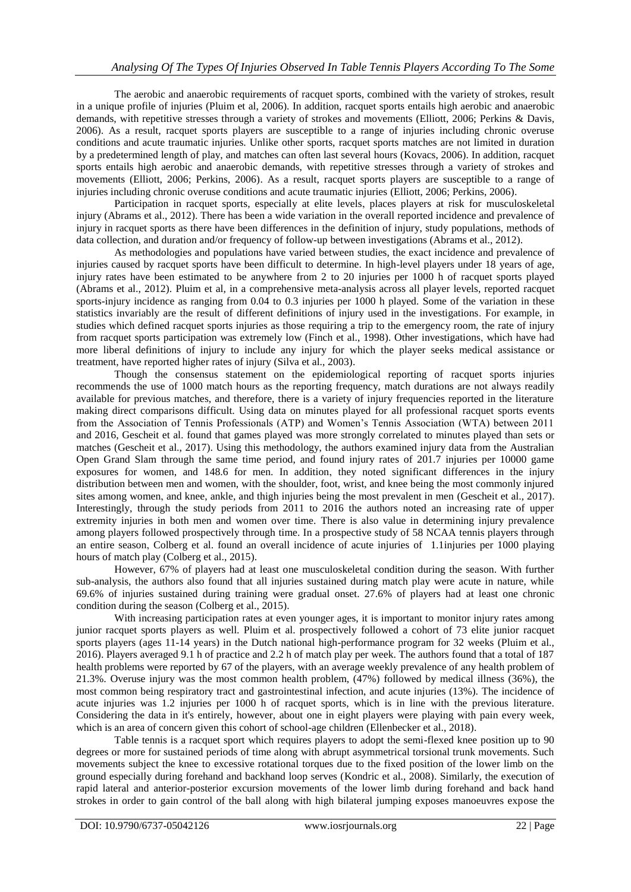The aerobic and anaerobic requirements of racquet sports, combined with the variety of strokes, result in a unique profile of injuries (Pluim et al, 2006). In addition, racquet sports entails high aerobic and anaerobic demands, with repetitive stresses through a variety of strokes and movements (Elliott, 2006; Perkins & Davis, 2006). As a result, racquet sports players are susceptible to a range of injuries including chronic overuse conditions and acute traumatic injuries. Unlike other sports, racquet sports matches are not limited in duration by a predetermined length of play, and matches can often last several hours (Kovacs, 2006). In addition, racquet sports entails high aerobic and anaerobic demands, with repetitive stresses through a variety of strokes and movements (Elliott, 2006; Perkins, 2006). As a result, racquet sports players are susceptible to a range of injuries including chronic overuse conditions and acute traumatic injuries (Elliott, 2006; Perkins, 2006).

Participation in racquet sports, especially at elite levels, places players at risk for musculoskeletal injury (Abrams et al., 2012). There has been a wide variation in the overall reported incidence and prevalence of injury in racquet sports as there have been differences in the definition of injury, study populations, methods of data collection, and duration and/or frequency of follow-up between investigations (Abrams et al., 2012).

As methodologies and populations have varied between studies, the exact incidence and prevalence of injuries caused by racquet sports have been difficult to determine. In high-level players under 18 years of age, injury rates have been estimated to be anywhere from 2 to 20 injuries per 1000 h of racquet sports played (Abrams et al., 2012). Pluim et al, in a comprehensive meta-analysis across all player levels, reported racquet sports-injury incidence as ranging from 0.04 to 0.3 injuries per 1000 h played. Some of the variation in these statistics invariably are the result of different definitions of injury used in the investigations. For example, in studies which defined racquet sports injuries as those requiring a trip to the emergency room, the rate of injury from racquet sports participation was extremely low (Finch et al., 1998). Other investigations, which have had more liberal definitions of injury to include any injury for which the player seeks medical assistance or treatment, have reported higher rates of injury (Silva et al., 2003).

Though the consensus statement on the epidemiological reporting of racquet sports injuries recommends the use of 1000 match hours as the reporting frequency, match durations are not always readily available for previous matches, and therefore, there is a variety of injury frequencies reported in the literature making direct comparisons difficult. Using data on minutes played for all professional racquet sports events from the Association of Tennis Professionals (ATP) and Women's Tennis Association (WTA) between 2011 and 2016, Gescheit et al. found that games played was more strongly correlated to minutes played than sets or matches (Gescheit et al., 2017). Using this methodology, the authors examined injury data from the Australian Open Grand Slam through the same time period, and found injury rates of 201.7 injuries per 10000 game exposures for women, and 148.6 for men. In addition, they noted significant differences in the injury distribution between men and women, with the shoulder, foot, wrist, and knee being the most commonly injured sites among women, and knee, ankle, and thigh injuries being the most prevalent in men (Gescheit et al., 2017). Interestingly, through the study periods from 2011 to 2016 the authors noted an increasing rate of upper extremity injuries in both men and women over time. There is also value in determining injury prevalence among players followed prospectively through time. In a prospective study of 58 NCAA tennis players through an entire season, Colberg et al. found an overall incidence of acute injuries of 1.1injuries per 1000 playing hours of match play (Colberg et al., 2015).

However, 67% of players had at least one musculoskeletal condition during the season. With further sub-analysis, the authors also found that all injuries sustained during match play were acute in nature, while 69.6% of injuries sustained during training were gradual onset. 27.6% of players had at least one chronic condition during the season (Colberg et al., 2015).

With increasing participation rates at even younger ages, it is important to monitor injury rates among junior racquet sports players as well. Pluim et al. prospectively followed a cohort of 73 elite junior racquet sports players (ages 11-14 years) in the Dutch national high-performance program for 32 weeks (Pluim et al., 2016). Players averaged 9.1 h of practice and 2.2 h of match play per week. The authors found that a total of 187 health problems were reported by 67 of the players, with an average weekly prevalence of any health problem of 21.3%. Overuse injury was the most common health problem, (47%) followed by medical illness (36%), the most common being respiratory tract and gastrointestinal infection, and acute injuries (13%). The incidence of acute injuries was 1.2 injuries per 1000 h of racquet sports, which is in line with the previous literature. Considering the data in it's entirely, however, about one in eight players were playing with pain every week, which is an area of concern given this cohort of school-age children (Ellenbecker et al., 2018).

Table tennis is a racquet sport which requires players to adopt the semi-flexed knee position up to 90 degrees or more for sustained periods of time along with abrupt asymmetrical torsional trunk movements. Such movements subject the knee to excessive rotational torques due to the fixed position of the lower limb on the ground especially during forehand and backhand loop serves (Kondric et al., 2008). Similarly, the execution of rapid lateral and anterior-posterior excursion movements of the lower limb during forehand and back hand strokes in order to gain control of the ball along with high bilateral jumping exposes manoeuvres expose the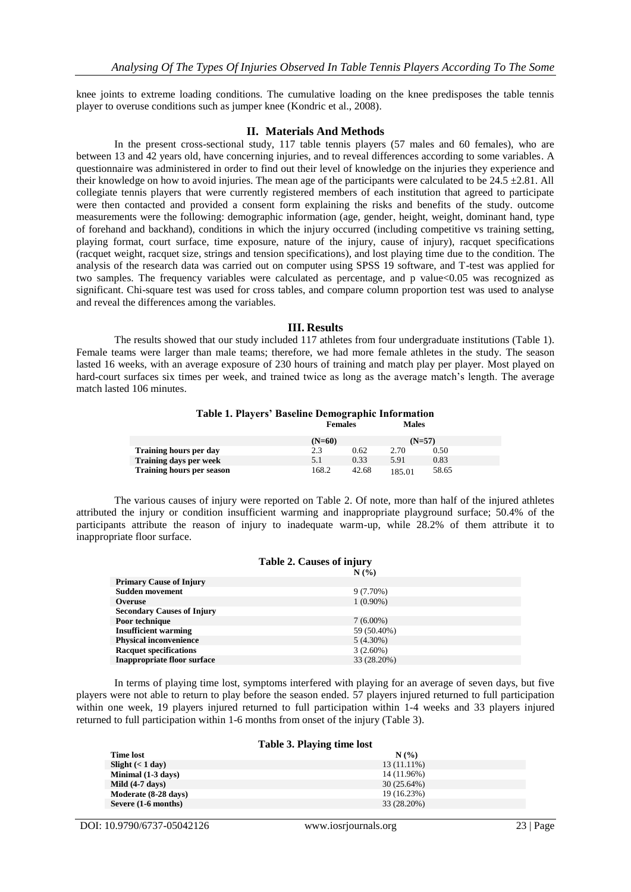knee joints to extreme loading conditions. The cumulative loading on the knee predisposes the table tennis player to overuse conditions such as jumper knee (Kondric et al., 2008).

## **II. Materials And Methods**

In the present cross-sectional study, 117 table tennis players (57 males and 60 females), who are between 13 and 42 years old, have concerning injuries, and to reveal differences according to some variables. A questionnaire was administered in order to find out their level of knowledge on the injuries they experience and their knowledge on how to avoid injuries. The mean age of the participants were calculated to be  $24.5 \pm 2.81$ . All collegiate tennis players that were currently registered members of each institution that agreed to participate were then contacted and provided a consent form explaining the risks and benefits of the study. outcome measurements were the following: demographic information (age, gender, height, weight, dominant hand, type of forehand and backhand), conditions in which the injury occurred (including competitive vs training setting, playing format, court surface, time exposure, nature of the injury, cause of injury), racquet specifications (racquet weight, racquet size, strings and tension specifications), and lost playing time due to the condition. The analysis of the research data was carried out on computer using SPSS 19 software, and T-test was applied for two samples. The frequency variables were calculated as percentage, and p value <0.05 was recognized as significant. Chi-square test was used for cross tables, and compare column proportion test was used to analyse and reveal the differences among the variables.

### **III. Results**

The results showed that our study included 117 athletes from four undergraduate institutions (Table 1). Female teams were larger than male teams; therefore, we had more female athletes in the study. The season lasted 16 weeks, with an average exposure of 230 hours of training and match play per player. Most played on hard-court surfaces six times per week, and trained twice as long as the average match's length. The average match lasted 106 minutes.

### **Table 1. Players' Baseline Demographic Information Females Males**

|                                  | $(N=60)$ |       | $(N=57)$ |       |
|----------------------------------|----------|-------|----------|-------|
| <b>Training hours per day</b>    |          | 0.62  | 2.70     | 0.50  |
| <b>Training days per week</b>    | 5.1      | 0.33  | 5.91     | 0.83  |
| <b>Training hours per season</b> | 168.2    | 42.68 | 85.01    | 58.65 |

The various causes of injury were reported on Table 2. Of note, more than half of the injured athletes attributed the injury or condition insufficient warming and inappropriate playground surface; 50.4% of the participants attribute the reason of injury to inadequate warm-up, while 28.2% of them attribute it to inappropriate floor surface.

| <b>Table 2. Causes of injury</b>   |             |  |  |  |
|------------------------------------|-------------|--|--|--|
|                                    | N(%)        |  |  |  |
| <b>Primary Cause of Injury</b>     |             |  |  |  |
| <b>Sudden movement</b>             | $9(7.70\%)$ |  |  |  |
| <b>Overuse</b>                     | $1(0.90\%)$ |  |  |  |
| <b>Secondary Causes of Injury</b>  |             |  |  |  |
| Poor technique                     | $7(6.00\%)$ |  |  |  |
| <b>Insufficient warming</b>        | 59 (50.40%) |  |  |  |
| <b>Physical inconvenience</b>      | $5(4.30\%)$ |  |  |  |
| <b>Racquet specifications</b>      | $3(2.60\%)$ |  |  |  |
| <b>Inappropriate floor surface</b> | 33 (28.20%) |  |  |  |

In terms of playing time lost, symptoms interfered with playing for an average of seven days, but five players were not able to return to play before the season ended. 57 players injured returned to full participation within one week, 19 players injured returned to full participation within 1-4 weeks and 33 players injured returned to full participation within 1-6 months from onset of the injury (Table 3).

#### **Table 3. Playing time lost**

| <b>Time lost</b>     | N(%           |
|----------------------|---------------|
| Slight $(< 1$ day)   | $13(11.11\%)$ |
| Minimal (1-3 days)   | 14 (11.96%)   |
| Mild $(4-7$ days)    | 30(25.64%)    |
| Moderate (8-28 days) | 19 (16.23%)   |
| Severe (1-6 months)  | 33 (28.20%)   |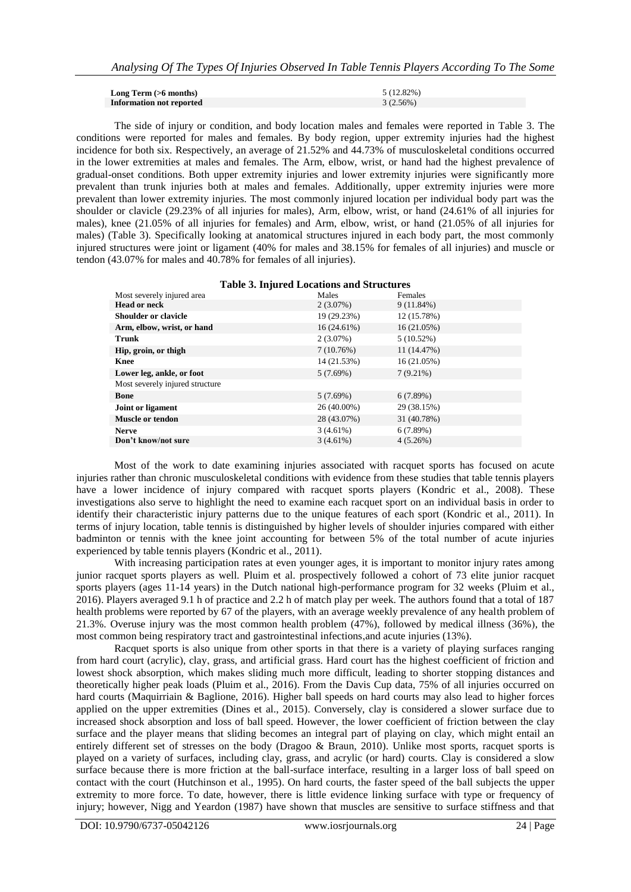| Long Term $(>6$ months)         | 5 (12.82%) |
|---------------------------------|------------|
| <b>Information not reported</b> | 3(2.56%)   |

The side of injury or condition, and body location males and females were reported in Table 3. The conditions were reported for males and females. By body region, upper extremity injuries had the highest incidence for both six. Respectively, an average of 21.52% and 44.73% of musculoskeletal conditions occurred in the lower extremities at males and females. The Arm, elbow, wrist, or hand had the highest prevalence of gradual-onset conditions. Both upper extremity injuries and lower extremity injuries were significantly more prevalent than trunk injuries both at males and females. Additionally, upper extremity injuries were more prevalent than lower extremity injuries. The most commonly injured location per individual body part was the shoulder or clavicle (29.23% of all injuries for males), Arm, elbow, wrist, or hand (24.61% of all injuries for males), knee (21.05% of all injuries for females) and Arm, elbow, wrist, or hand (21.05% of all injuries for males) (Table 3). Specifically looking at anatomical structures injured in each body part, the most commonly injured structures were joint or ligament (40% for males and 38.15% for females of all injuries) and muscle or tendon (43.07% for males and 40.78% for females of all injuries).

| Most severely injured area      | Males         | Females      |
|---------------------------------|---------------|--------------|
| <b>Head or neck</b>             | $2(3.07\%)$   | $9(11.84\%)$ |
| <b>Shoulder or clavicle</b>     | 19 (29.23%)   | 12 (15.78%)  |
| Arm, elbow, wrist, or hand      | $16(24.61\%)$ | 16(21.05%)   |
| <b>Trunk</b>                    | $2(3.07\%)$   | $5(10.52\%)$ |
| Hip, groin, or thigh            | 7(10.76%)     | 11 (14.47%)  |
| <b>Knee</b>                     | 14 (21.53%)   | 16(21.05%)   |
| Lower leg, ankle, or foot       | 5(7.69%)      | $7(9.21\%)$  |
| Most severely injured structure |               |              |
| <b>Bone</b>                     | 5(7.69%)      | 6(7.89%)     |
| Joint or ligament               | $26(40.00\%)$ | 29 (38.15%)  |
| <b>Muscle or tendon</b>         | 28 (43.07%)   | 31 (40.78%)  |
| <b>Nerve</b>                    | $3(4.61\%)$   | 6(7.89%)     |
| Don't know/not sure             | 3(4.61%)      | 4(5.26%)     |
|                                 |               |              |

Most of the work to date examining injuries associated with racquet sports has focused on acute injuries rather than chronic musculoskeletal conditions with evidence from these studies that table tennis players have a lower incidence of injury compared with racquet sports players (Kondric et al., 2008). These investigations also serve to highlight the need to examine each racquet sport on an individual basis in order to identify their characteristic injury patterns due to the unique features of each sport (Kondric et al., 2011). In terms of injury location, table tennis is distinguished by higher levels of shoulder injuries compared with either badminton or tennis with the knee joint accounting for between 5% of the total number of acute injuries experienced by table tennis players (Kondric et al., 2011).

With increasing participation rates at even younger ages, it is important to monitor injury rates among junior racquet sports players as well. Pluim et al. prospectively followed a cohort of 73 elite junior racquet sports players (ages 11-14 years) in the Dutch national high-performance program for 32 weeks (Pluim et al., 2016). Players averaged 9.1 h of practice and 2.2 h of match play per week. The authors found that a total of 187 health problems were reported by 67 of the players, with an average weekly prevalence of any health problem of 21.3%. Overuse injury was the most common health problem  $(47%)$ , followed by medical illness  $(36%)$ , the most common being respiratory tract and gastrointestinal infections,and acute injuries (13%).

Racquet sports is also unique from other sports in that there is a variety of playing surfaces ranging from hard court (acrylic), clay, grass, and artificial grass. Hard court has the highest coefficient of friction and lowest shock absorption, which makes sliding much more difficult, leading to shorter stopping distances and theoretically higher peak loads (Pluim et al., 2016). From the Davis Cup data, 75% of all injuries occurred on hard courts (Maquirriain & Baglione, 2016). Higher ball speeds on hard courts may also lead to higher forces applied on the upper extremities (Dines et al., 2015). Conversely, clay is considered a slower surface due to increased shock absorption and loss of ball speed. However, the lower coefficient of friction between the clay surface and the player means that sliding becomes an integral part of playing on clay, which might entail an entirely different set of stresses on the body (Dragoo & Braun, 2010). Unlike most sports, racquet sports is played on a variety of surfaces, including clay, grass, and acrylic (or hard) courts. Clay is considered a slow surface because there is more friction at the ball-surface interface, resulting in a larger loss of ball speed on contact with the court (Hutchinson et al., 1995). On hard courts, the faster speed of the ball subjects the upper extremity to more force. To date, however, there is little evidence linking surface with type or frequency of injury; however, Nigg and Yeardon (1987) have shown that muscles are sensitive to surface stiffness and that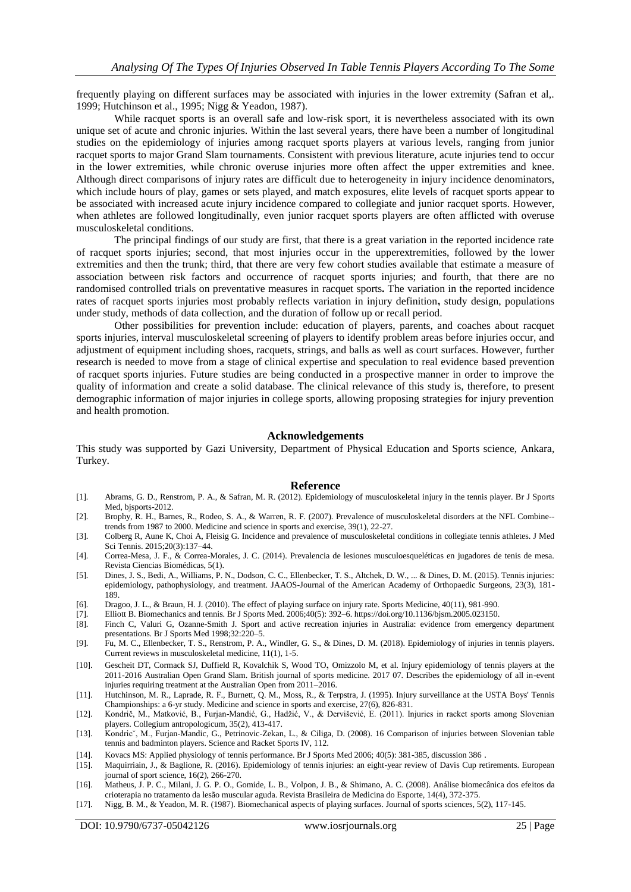frequently playing on different surfaces may be associated with injuries in the lower extremity (Safran et al,. 1999; Hutchinson et al., 1995; Nigg & Yeadon, 1987).

While racquet sports is an overall safe and low-risk sport, it is nevertheless associated with its own unique set of acute and chronic injuries. Within the last several years, there have been a number of longitudinal studies on the epidemiology of injuries among racquet sports players at various levels, ranging from junior racquet sports to major Grand Slam tournaments. Consistent with previous literature, acute injuries tend to occur in the lower extremities, while chronic overuse injuries more often affect the upper extremities and knee. Although direct comparisons of injury rates are difficult due to heterogeneity in injury incidence denominators, which include hours of play, games or sets played, and match exposures, elite levels of racquet sports appear to be associated with increased acute injury incidence compared to collegiate and junior racquet sports. However, when athletes are followed longitudinally, even junior racquet sports players are often afflicted with overuse musculoskeletal conditions.

The principal findings of our study are first, that there is a great variation in the reported incidence rate of racquet sports injuries; second, that most injuries occur in the upperextremities, followed by the lower extremities and then the trunk; third, that there are very few cohort studies available that estimate a measure of association between risk factors and occurrence of racquet sports injuries; and fourth, that there are no randomised controlled trials on preventative measures in racquet sports**.** The variation in the reported incidence rates of racquet sports injuries most probably reflects variation in injury definition**,** study design, populations under study, methods of data collection, and the duration of follow up or recall period.

Other possibilities for prevention include: education of players, parents, and coaches about racquet sports injuries, interval musculoskeletal screening of players to identify problem areas before injuries occur, and adjustment of equipment including shoes, racquets, strings, and balls as well as court surfaces. However, further research is needed to move from a stage of clinical expertise and speculation to real evidence based prevention of racquet sports injuries. Future studies are being conducted in a prospective manner in order to improve the quality of information and create a solid database. The clinical relevance of this study is, therefore, to present demographic information of major injuries in college sports, allowing proposing strategies for injury prevention and health promotion.

### **Acknowledgements**

This study was supported by Gazi University, Department of Physical Education and Sports science, Ankara, Turkey.

#### **Reference**

- [1]. Abrams, G. D., Renstrom, P. A., & Safran, M. R. (2012). Epidemiology of musculoskeletal injury in the tennis player. Br J Sports Med. bisports-2012.
- [2]. Brophy, R. H., Barnes, R., Rodeo, S. A., & Warren, R. F. (2007). Prevalence of musculoskeletal disorders at the NFL Combine- trends from 1987 to 2000. Medicine and science in sports and exercise, 39(1), 22-27.
- [3]. Colberg R, Aune K, Choi A, Fleisig G. Incidence and prevalence of musculoskeletal conditions in collegiate tennis athletes. J Med Sci Tennis. 2015;20(3):137–44.
- [4]. Correa-Mesa, J. F., & Correa-Morales, J. C. (2014). Prevalencia de lesiones musculoesqueléticas en jugadores de tenis de mesa. Revista Ciencias Biomédicas, 5(1).
- [5]. Dines, J. S., Bedi, A., Williams, P. N., Dodson, C. C., Ellenbecker, T. S., Altchek, D. W., ... & Dines, D. M. (2015). Tennis injuries: epidemiology, pathophysiology, and treatment. JAAOS-Journal of the American Academy of Orthopaedic Surgeons, 23(3), 181- 189.
- [6]. Dragoo, J. L., & Braun, H. J. (2010). The effect of playing surface on injury rate. Sports Medicine, 40(11), 981-990.
- [7]. Elliott B. Biomechanics and tennis. Br J Sports Med. 2006;40(5): 392–6[. https://doi.org/10.1136/bjsm.2005.023150.](https://doi.org/10.1136/bjsm.2005.023150)
- Finch C, Valuri G, Ozanne-Smith J. Sport and active recreation injuries in Australia: evidence from emergency department presentations. Br J Sports Med 1998;32:220–5.
- [9]. Fu, M. C., Ellenbecker, T. S., Renstrom, P. A., Windler, G. S., & Dines, D. M. (2018). Epidemiology of injuries in tennis players. Current reviews in musculoskeletal medicine, 11(1), 1-5.
- [10]. Gescheit DT, Cormack SJ, Duffield R, Kovalchik S, Wood TO, Omizzolo M, et al. Injury epidemiology of tennis players at the 2011-2016 Australian Open Grand Slam. British journal of sports medicine. 2017 07. Describes the epidemiology of all in-event injuries requiring treatment at the Australian Open from 2011–2016.
- [11]. Hutchinson, M. R., Laprade, R. F., Burnett, Q. M., Moss, R., & Terpstra, J. (1995). Injury surveillance at the USTA Boys' Tennis Championships: a 6-yr study. Medicine and science in sports and exercise, 27(6), 826-831.
- [12]. Kondrič, M., Matković, B., Furjan-Mandić, G., Hadžić, V., & Dervišević, E. (2011). Injuries in racket sports among Slovenian players. Collegium antropologicum, 35(2), 413-417.
- [13]. Kondricˇ, M., Furjan-Mandic, G., Petrinovic-Zekan, L., & Ciliga, D. (2008). 16 Comparison of injuries between Slovenian table tennis and badminton players. Science and Racket Sports IV, 112.
- [14]. Kovacs MS: Applied physiology of tennis performance. Br J Sports Med 2006; 40(5): 381-385, discussion 386 .
- [15]. Maquirriain, J., & Baglione, R. (2016). Epidemiology of tennis injuries: an eight-year review of Davis Cup retirements. European journal of sport science, 16(2), 266-270.
- [16]. Matheus, J. P. C., Milani, J. G. P. O., Gomide, L. B., Volpon, J. B., & Shimano, A. C. (2008). Análise biomecânica dos efeitos da crioterapia no tratamento da lesão muscular aguda. Revista Brasileira de Medicina do Esporte, 14(4), 372-375.
- [17]. Nigg, B. M., & Yeadon, M. R. (1987). Biomechanical aspects of playing surfaces. Journal of sports sciences, 5(2), 117-145.